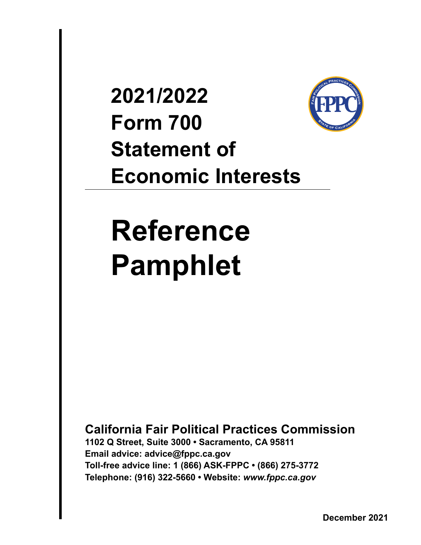## **2021/2022 Form 700 Statement of Economic Interests**



# **Reference Pamphlet**

**California Fair Political Practices Commission**

**1102 Q Street, Suite 3000 • Sacramento, CA 95811 Email advice: advice@fppc.ca.gov Toll-free advice line: 1 (866) ASK-FPPC • (866) 275-3772 Telephone: (916) 322-5660 • Website:** *www.fppc.ca.gov*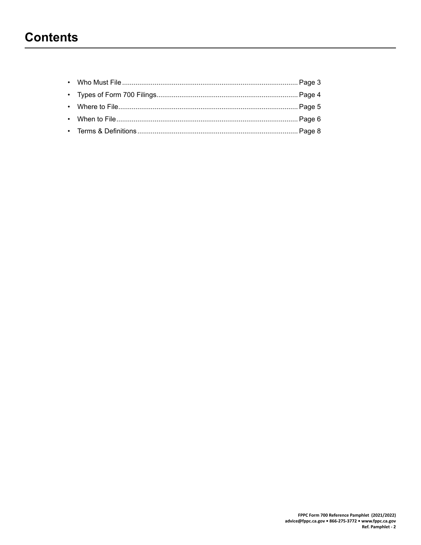## <span id="page-1-0"></span>**Contents**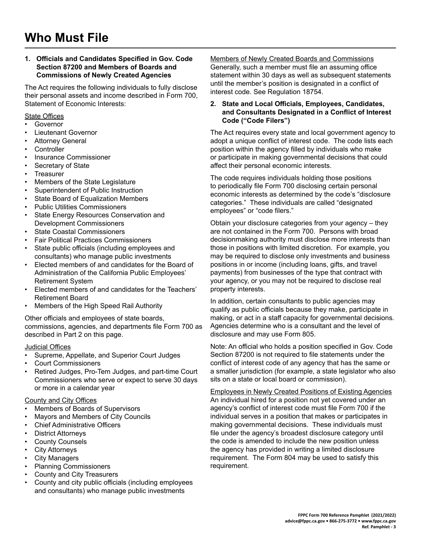#### <span id="page-2-0"></span>**1. Officials and Candidates Specified in Gov. Code Section 87200 and Members of Boards and Commissions of Newly Created Agencies**

The Act requires the following individuals to fully disclose their personal assets and income described in Form 700, Statement of Economic Interests:

#### State Offices

- **Governor**
- Lieutenant Governor
- **Attorney General**
- **Controller**
- Insurance Commissioner
- Secretary of State
- **Treasurer**
- Members of the State Legislature
- Superintendent of Public Instruction
- State Board of Equalization Members
- Public Utilities Commissioners
- State Energy Resources Conservation and Development Commissioners
- **State Coastal Commissioners**
- Fair Political Practices Commissioners
- State public officials (including employees and consultants) who manage public investments
- Elected members of and candidates for the Board of Administration of the California Public Employees' Retirement System
- Elected members of and candidates for the Teachers' Retirement Board
- Members of the High Speed Rail Authority

Other officials and employees of state boards, commissions, agencies, and departments file Form 700 as described in Part 2 on this page.

#### **Judicial Offices**

- Supreme, Appellate, and Superior Court Judges
- Court Commissioners
- Retired Judges, Pro-Tem Judges, and part-time Court Commissioners who serve or expect to serve 30 days or more in a calendar year

#### County and City Offices

- Members of Boards of Supervisors
- Mayors and Members of City Councils
- **Chief Administrative Officers**
- **District Attorneys**
- **County Counsels**
- **City Attorneys**
- **City Managers**
- Planning Commissioners
- County and City Treasurers
- County and city public officials (including employees and consultants) who manage public investments

Members of Newly Created Boards and Commissions Generally, such a member must file an assuming office statement within 30 days as well as subsequent statements until the member's position is designated in a conflict of interest code. See Regulation 18754.

#### **2. State and Local Officials, Employees, Candidates, and Consultants Designated in a Conflict of Interest Code ("Code Filers")**

The Act requires every state and local government agency to adopt a unique conflict of interest code. The code lists each position within the agency filled by individuals who make or participate in making governmental decisions that could affect their personal economic interests.

The code requires individuals holding those positions to periodically file Form 700 disclosing certain personal economic interests as determined by the code's "disclosure categories." These individuals are called "designated employees" or "code filers."

Obtain your disclosure categories from your agency – they are not contained in the Form 700. Persons with broad decisionmaking authority must disclose more interests than those in positions with limited discretion. For example, you may be required to disclose only investments and business positions in or income (including loans, gifts, and travel payments) from businesses of the type that contract with your agency, or you may not be required to disclose real property interests.

In addition, certain consultants to public agencies may qualify as public officials because they make, participate in making, or act in a staff capacity for governmental decisions. Agencies determine who is a consultant and the level of disclosure and may use Form 805.

Note: An official who holds a position specified in Gov. Code Section 87200 is not required to file statements under the conflict of interest code of any agency that has the same or a smaller jurisdiction (for example, a state legislator who also sits on a state or local board or commission).

Employees in Newly Created Positions of Existing Agencies An individual hired for a position not yet covered under an agency's conflict of interest code must file Form 700 if the individual serves in a position that makes or participates in making governmental decisions. These individuals must file under the agency's broadest disclosure category until the code is amended to include the new position unless the agency has provided in writing a limited disclosure requirement. The Form 804 may be used to satisfy this requirement.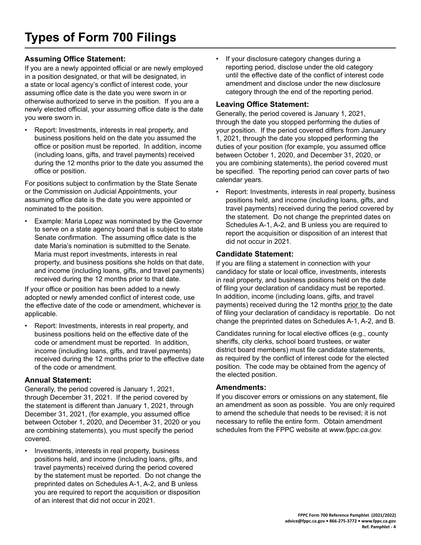#### <span id="page-3-0"></span>**Assuming Office Statement:**

If you are a newly appointed official or are newly employed in a position designated, or that will be designated, in a state or local agency's conflict of interest code, your assuming office date is the date you were sworn in or otherwise authorized to serve in the position. If you are a newly elected official, your assuming office date is the date you were sworn in.

Report: Investments, interests in real property, and business positions held on the date you assumed the office or position must be reported. In addition, income (including loans, gifts, and travel payments) received during the 12 months prior to the date you assumed the office or position.

For positions subject to confirmation by the State Senate or the Commission on Judicial Appointments, your assuming office date is the date you were appointed or nominated to the position.

Example: Maria Lopez was nominated by the Governor to serve on a state agency board that is subject to state Senate confirmation. The assuming office date is the date Maria's nomination is submitted to the Senate. Maria must report investments, interests in real property, and business positions she holds on that date, and income (including loans, gifts, and travel payments) received during the 12 months prior to that date.

If your office or position has been added to a newly adopted or newly amended conflict of interest code, use the effective date of the code or amendment, whichever is applicable.

• Report: Investments, interests in real property, and business positions held on the effective date of the code or amendment must be reported. In addition, income (including loans, gifts, and travel payments) received during the 12 months prior to the effective date of the code or amendment.

#### **Annual Statement:**

Generally, the period covered is January 1, 2021, through December 31, 2021. If the period covered by the statement is different than January 1, 2021, through December 31, 2021, (for example, you assumed office between October 1, 2020, and December 31, 2020 or you are combining statements), you must specify the period covered.

Investments, interests in real property, business positions held, and income (including loans, gifts, and travel payments) received during the period covered by the statement must be reported. Do not change the preprinted dates on Schedules A-1, A-2, and B unless you are required to report the acquisition or disposition of an interest that did not occur in 2021.

• If your disclosure category changes during a reporting period, disclose under the old category until the effective date of the conflict of interest code amendment and disclose under the new disclosure category through the end of the reporting period.

#### **Leaving Office Statement:**

Generally, the period covered is January 1, 2021, through the date you stopped performing the duties of your position. If the period covered differs from January 1, 2021, through the date you stopped performing the duties of your position (for example, you assumed office between October 1, 2020, and December 31, 2020, or you are combining statements), the period covered must be specified. The reporting period can cover parts of two calendar years.

• Report: Investments, interests in real property, business positions held, and income (including loans, gifts, and travel payments) received during the period covered by the statement. Do not change the preprinted dates on Schedules A-1, A-2, and B unless you are required to report the acquisition or disposition of an interest that did not occur in 2021.

#### **Candidate Statement:**

If you are filing a statement in connection with your candidacy for state or local office, investments, interests in real property, and business positions held on the date of filing your declaration of candidacy must be reported. In addition, income (including loans, gifts, and travel payments) received during the 12 months prior to the date of filing your declaration of candidacy is reportable. Do not change the preprinted dates on Schedules A-1, A-2, and B.

Candidates running for local elective offices (e.g., county sheriffs, city clerks, school board trustees, or water district board members) must file candidate statements, as required by the conflict of interest code for the elected position. The code may be obtained from the agency of the elected position.

#### **Amendments:**

If you discover errors or omissions on any statement, file an amendment as soon as possible. You are only required to amend the schedule that needs to be revised; it is not necessary to refile the entire form. Obtain amendment schedules from the FPPC website at *www.fppc.ca.gov.*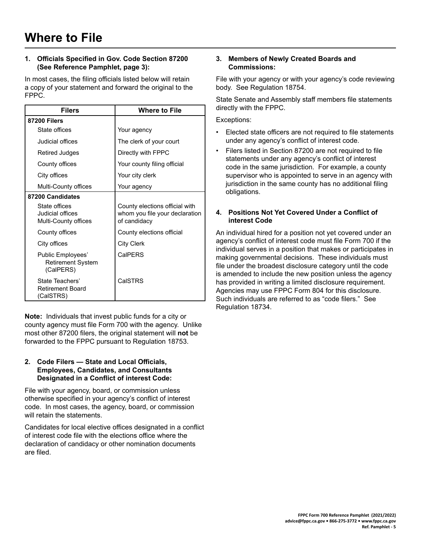#### <span id="page-4-0"></span>**1. Officials Specified in Gov. Code Section 87200 (See Reference Pamphlet, page 3):**

In most cases, the filing officials listed below will retain a copy of your statement and forward the original to the FPPC.

| <b>Filers</b>                                              | <b>Where to File</b>                                                             |
|------------------------------------------------------------|----------------------------------------------------------------------------------|
| <b>87200 Filers</b>                                        |                                                                                  |
| State offices                                              | Your agency                                                                      |
| Judicial offices                                           | The clerk of your court                                                          |
| Retired Judges                                             | Directly with FPPC                                                               |
| County offices                                             | Your county filing official                                                      |
| City offices                                               | Your city clerk                                                                  |
| Multi-County offices                                       | Your agency                                                                      |
| 87200 Candidates                                           |                                                                                  |
| State offices<br>Judicial offices<br>Multi-County offices  | County elections official with<br>whom you file your declaration<br>of candidacy |
| County offices                                             | County elections official                                                        |
| City offices                                               | City Clerk                                                                       |
| Public Employees'<br><b>Retirement System</b><br>(CalPERS) | CalPERS                                                                          |
| State Teachers'<br><b>Retirement Board</b><br>(CalSTRS)    | CalSTRS                                                                          |

**Note:** Individuals that invest public funds for a city or county agency must file Form 700 with the agency. Unlike most other 87200 filers, the original statement will not be forwarded to the FPPC pursuant to Regulation 18753.

#### **2. Code Filers — State and Local Officials, Employees, Candidates, and Consultants Designated in a Conflict of interest Code:**

File with your agency, board, or commission unless otherwise specified in your agency's conflict of interest code. In most cases, the agency, board, or commission will retain the statements.

Candidates for local elective offices designated in a conflict of interest code file with the elections office where the declaration of candidacy or other nomination documents are filed.

#### **3. Members of Newly Created Boards and Commissions:**

File with your agency or with your agency's code reviewing body. See Regulation 18754.

State Senate and Assembly staff members file statements directly with the FPPC.

Exceptions:

- Elected state officers are not required to file statements under any agency's conflict of interest code.
- Filers listed in Section 87200 are not required to file statements under any agency's conflict of interest code in the same jurisdiction. For example, a county supervisor who is appointed to serve in an agency with jurisdiction in the same county has no additional filing obligations.

#### **4. Positions Not Yet Covered Under a Conflict of interest Code**

An individual hired for a position not yet covered under an agency's conflict of interest code must file Form 700 if the individual serves in a position that makes or participates in making governmental decisions. These individuals must file under the broadest disclosure category until the code is amended to include the new position unless the agency has provided in writing a limited disclosure requirement. Agencies may use FPPC Form 804 for this disclosure. Such individuals are referred to as "code filers." See Regulation 18734.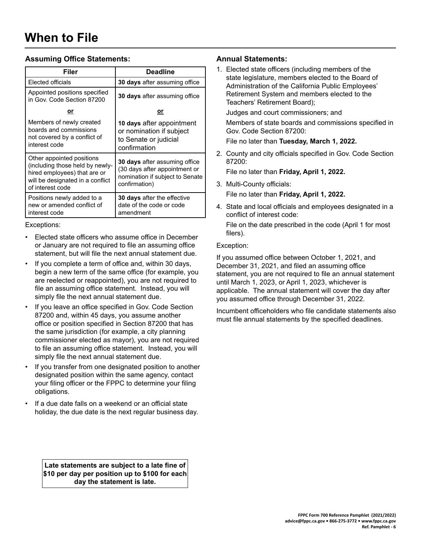#### <span id="page-5-0"></span>**Assuming Office Statements:**

| Filer                                                                                                                                                | <b>Deadline</b>                                                                                                           |  |
|------------------------------------------------------------------------------------------------------------------------------------------------------|---------------------------------------------------------------------------------------------------------------------------|--|
| Elected officials                                                                                                                                    | <b>30 days</b> after assuming office                                                                                      |  |
| Appointed positions specified<br>in Gov. Code Section 87200                                                                                          | <b>30 days</b> after assuming office                                                                                      |  |
| or                                                                                                                                                   | <u>or</u>                                                                                                                 |  |
| Members of newly created<br>boards and commissions<br>not covered by a conflict of<br>interest code                                                  | 10 days after appointment<br>or nomination if subject<br>to Senate or judicial<br>confirmation                            |  |
| Other appointed positions<br>(including those held by newly-<br>hired employees) that are or<br>will be designated in a conflict<br>of interest code | <b>30 days</b> after assuming office<br>(30 days after appointment or<br>nomination if subject to Senate<br>confirmation) |  |
| Positions newly added to a<br>new or amended conflict of<br>interest code                                                                            | 30 days after the effective<br>date of the code or code<br>amendment                                                      |  |

#### Exceptions:

- Elected state officers who assume office in December or January are not required to file an assuming office statement, but will file the next annual statement due.
- If you complete a term of office and, within 30 days, begin a new term of the same office (for example, you are reelected or reappointed), you are not required to file an assuming office statement. Instead, you will simply file the next annual statement due.
- If you leave an office specified in Gov. Code Section 87200 and, within 45 days, you assume another office or position specified in Section 87200 that has the same jurisdiction (for example, a city planning commissioner elected as mayor), you are not required to file an assuming office statement. Instead, you will simply file the next annual statement due.
- If you transfer from one designated position to another designated position within the same agency, contact your filing officer or the FPPC to determine your filing obligations.
- If a due date falls on a weekend or an official state holiday, the due date is the next regular business day.

**Late statements are subject to a late fine of \$10 per day per position up to \$100 for each day the statement is late.**

#### **Annual Statements:**

1. Elected state officers (including members of the state legislature, members elected to the Board of Administration of the California Public Employees' Retirement System and members elected to the Teachers' Retirement Board);

Judges and court commissioners; and

Members of state boards and commissions specified in Gov. Code Section 87200:

File no later than **Tuesday, March 1, 2022.**

2. County and city officials specified in Gov. Code Section 87200:

File no later than **Friday, April 1, 2022.**

3. Multi-County officials:

File no later than **Friday, April 1, 2022.**

4. State and local officials and employees designated in a conflict of interest code:

#### Exception:

If you assumed office between October 1, 2021, and December 31, 2021, and filed an assuming office statement, you are not required to file an annual statement until March 1, 2023, or April 1, 2023, whichever is applicable. The annual statement will cover the day after you assumed office through December 31, 2022.

Incumbent officeholders who file candidate statements also must file annual statements by the specified deadlines.

File on the date prescribed in the code (April 1 for most filers).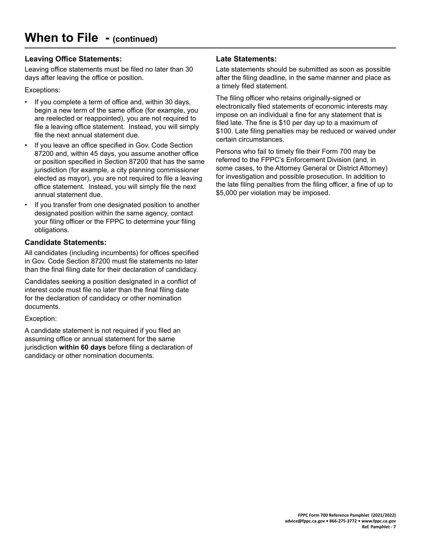#### **Leaving Office Statements:**

Leaving office statements must be filed no later than 30 days after leaving the office or position.

#### Exceptions:

- If you complete a term of office and, within 30 days, begin a new term of the same office (for example, you are reelected or reappointed), you are not required to file a leaving office statement. Instead, you will simply file the next annual statement due.
- If you leave an office specified in Gov. Code Section 87200 and, within 45 days, you assume another office or position specified in Section 87200 that has the same jurisdiction (for example, a city planning commissioner elected as mayor), you are not required to file a leaving office statement. Instead, you will simply file the next annual statement due.
- If you transfer from one designated position to another designated position within the same agency, contact your filing officer or the FPPC to determine your filing obligations.

#### **Candidate Statements:**

All candidates (including incumbents) for offices specified in Gov. Code Section 87200 must file statements no later than the final filing date for their declaration of candidacy.

Candidates seeking a position designated in a conflict of interest code must file no later than the final filing date for the declaration of candidacy or other nomination documents.

Exception:

A candidate statement is not required if you filed an assuming office or annual statement for the same jurisdiction within 60 days before filing a declaration of candidacy or other nomination documents.

#### **Late Statements:**

Late statements should be submitted as soon as possible after the filing deadline, in the same manner and place as a timely filed statement.

The filing officer who retains originally-signed or electronically filed statements of economic interests may impose on an individual a fine for any statement that is filed late. The fine is  $$10$  per day up to a maximum of \$100. Late filing penalties may be reduced or waived under certain circumstances.

Persons who fail to timely file their Form 700 may be referred to the FPPC's Enforcement Division (and, in some cases, to the Attorney General or District Attorney) for investigation and possible prosecution. In addition to the late filing penalties from the filing officer, a fine of up to \$5,000 per violation may be imposed.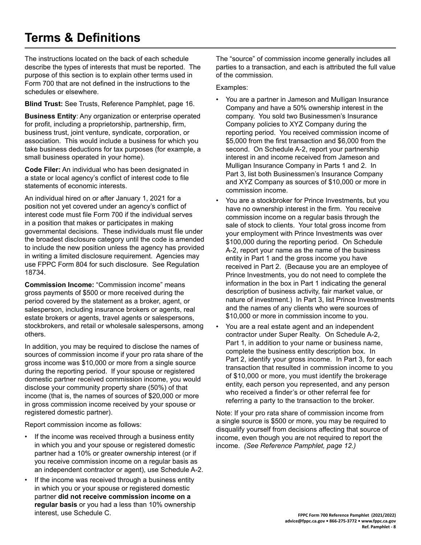## <span id="page-7-0"></span>**Terms & Definitions**

The instructions located on the back of each schedule describe the types of interests that must be reported. The purpose of this section is to explain other terms used in Form 700 that are not defined in the instructions to the schedules or elsewhere.

**Blind Trust:** See Trusts, Reference Pamphlet, page 16.

**Business Entity**: Any organization or enterprise operated for profit, including a proprietorship, partnership, firm, business trust, joint venture, syndicate, corporation, or association. This would include a business for which you take business deductions for tax purposes (for example, a small business operated in your home).

**Code Filer:** An individual who has been designated in a state or local agency's conflict of interest code to file statements of economic interests.

An individual hired on or after January 1, 2021 for a position not yet covered under an agency's conflict of interest code must file Form 700 if the individual serves in a position that makes or participates in making governmental decisions. These individuals must file under the broadest disclosure category until the code is amended to include the new position unless the agency has provided in writing a limited disclosure requirement. Agencies may use FPPC Form 804 for such disclosure. See Regulation 18734.

**Commission Income:** "Commission income" means gross payments of \$500 or more received during the period covered by the statement as a broker, agent, or salesperson, including insurance brokers or agents, real estate brokers or agents, travel agents or salespersons, stockbrokers, and retail or wholesale salespersons, among others.

In addition, you may be required to disclose the names of sources of commission income if your pro rata share of the gross income was \$10,000 or more from a single source during the reporting period. If your spouse or registered domestic partner received commission income, you would disclose your community property share (50%) of that income (that is, the names of sources of \$20,000 or more in gross commission income received by your spouse or registered domestic partner).

Report commission income as follows:

- If the income was received through a business entity in which you and your spouse or registered domestic partner had a 10% or greater ownership interest (or if you receive commission income on a regular basis as an independent contractor or agent), use Schedule A-2.
- If the income was received through a business entity in which you or your spouse or registered domestic partner **did not receive commission income on a regular basis** or you had a less than 10% ownership interest, use Schedule C.

The "source" of commission income generally includes all parties to a transaction, and each is attributed the full value of the commission.

Examples:

- You are a partner in Jameson and Mulligan Insurance Company and have a 50% ownership interest in the company. You sold two Businessmen's Insurance Company policies to XYZ Company during the reporting period. You received commission income of \$5,000 from the first transaction and \$6,000 from the second. On Schedule A-2, report your partnership interest in and income received from Jameson and Mulligan Insurance Company in Parts 1 and 2. In Part 3, list both Businessmen's Insurance Company and XYZ Company as sources of \$10,000 or more in commission income.
- You are a stockbroker for Prince Investments, but you have no ownership interest in the firm. You receive commission income on a regular basis through the sale of stock to clients. Your total gross income from your employment with Prince Investments was over \$100,000 during the reporting period. On Schedule A-2, report your name as the name of the business entity in Part 1 and the gross income you have received in Part 2. (Because you are an employee of Prince Investments, you do not need to complete the information in the box in Part 1 indicating the general description of business activity, fair market value, or nature of investment.) In Part 3, list Prince Investments and the names of any clients who were sources of \$10,000 or more in commission income to you.
- You are a real estate agent and an independent contractor under Super Realty. On Schedule A-2, Part 1, in addition to your name or business name, complete the business entity description box. In Part 2, identify your gross income. In Part 3, for each transaction that resulted in commission income to you of \$10,000 or more, you must identify the brokerage entity, each person you represented, and any person who received a finder's or other referral fee for referring a party to the transaction to the broker.

Note: If your pro rata share of commission income from a single source is \$500 or more, you may be required to disqualify yourself from decisions affecting that source of income, even though you are not required to report the income. *(See Reference Pamphlet, page 12.)*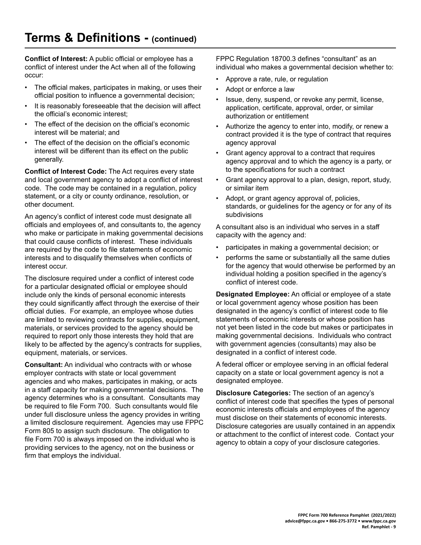**Conflict of Interest:** A public official or employee has a conflict of interest under the Act when all of the following occur:

- The official makes, participates in making, or uses their official position to influence a governmental decision;
- It is reasonably foreseeable that the decision will affect the official's economic interest:
- The effect of the decision on the official's economic interest will be material; and
- The effect of the decision on the official's economic interest will be different than its effect on the public generally.

**Conflict of Interest Code:** The Act requires every state and local government agency to adopt a conflict of interest code. The code may be contained in a regulation, policy statement, or a city or county ordinance, resolution, or other document.

An agency's conflict of interest code must designate all officials and employees of, and consultants to, the agency who make or participate in making governmental decisions that could cause conflicts of interest. These individuals are required by the code to file statements of economic interests and to disqualify themselves when conflicts of interest occur.

The disclosure required under a conflict of interest code for a particular designated official or employee should include only the kinds of personal economic interests they could significantly affect through the exercise of their official duties. For example, an employee whose duties are limited to reviewing contracts for supplies, equipment, materials, or services provided to the agency should be required to report only those interests they hold that are likely to be affected by the agency's contracts for supplies, equipment, materials, or services.

**Consultant:** An individual who contracts with or whose employer contracts with state or local government agencies and who makes, participates in making, or acts in a staff capacity for making governmental decisions. The agency determines who is a consultant. Consultants may be required to file Form 700. Such consultants would file under full disclosure unless the agency provides in writing a limited disclosure requirement. Agencies may use FPPC Form 805 to assign such disclosure. The obligation to file Form 700 is always imposed on the individual who is providing services to the agency, not on the business or firm that employs the individual.

FPPC Regulation 18700.3 defines "consultant" as an individual who makes a governmental decision whether to:

- Approve a rate, rule, or regulation
- Adopt or enforce a law
- Issue, deny, suspend, or revoke any permit, license, application, certificate, approval, order, or similar authorization or entitlement
- Authorize the agency to enter into, modify, or renew a contract provided it is the type of contract that requires agency approval
- Grant agency approval to a contract that requires agency approval and to which the agency is a party, or to the specifications for such a contract
- Grant agency approval to a plan, design, report, study, or similar item
- Adopt, or grant agency approval of, policies, standards, or guidelines for the agency or for any of its subdivisions

A consultant also is an individual who serves in a staff capacity with the agency and:

- participates in making a governmental decision; or
- performs the same or substantially all the same duties for the agency that would otherwise be performed by an individual holding a position specified in the agency's conflict of interest code.

**Designated Employee:** An official or employee of a state or local government agency whose position has been designated in the agency's conflict of interest code to file statements of economic interests or whose position has not yet been listed in the code but makes or participates in making governmental decisions. Individuals who contract with government agencies (consultants) may also be designated in a conflict of interest code.

A federal officer or employee serving in an official federal capacity on a state or local government agency is not a designated employee.

**Disclosure Categories:** The section of an agency's conflict of interest code that specifies the types of personal economic interests officials and employees of the agency must disclose on their statements of economic interests. Disclosure categories are usually contained in an appendix or attachment to the conflict of interest code. Contact your agency to obtain a copy of your disclosure categories.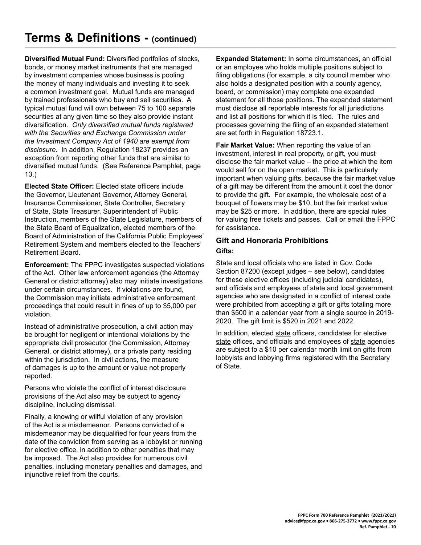**Diversified Mutual Fund:** Diversified portfolios of stocks, bonds, or money market instruments that are managed by investment companies whose business is pooling the money of many individuals and investing it to seek a common investment goal. Mutual funds are managed by trained professionals who buy and sell securities. A typical mutual fund will own between 75 to 100 separate securities at any given time so they also provide instant diversification. *Only diversified mutual funds registered with the Securities and Exchange Commission under the Investment Company Act of 1940 are exempt from disclosure.* In addition, Regulation 18237 provides an exception from reporting other funds that are similar to diversified mutual funds. (See Reference Pamphlet, page 13.)

**Elected State Officer:** Elected state officers include the Governor, Lieutenant Governor, Attorney General, Insurance Commissioner, State Controller, Secretary of State, State Treasurer, Superintendent of Public Instruction, members of the State Legislature, members of the State Board of Equalization, elected members of the Board of Administration of the California Public Employees' Retirement System and members elected to the Teachers' Retirement Board.

**Enforcement:** The FPPC investigates suspected violations of the Act. Other law enforcement agencies (the Attorney General or district attorney) also may initiate investigations under certain circumstances. If violations are found, the Commission may initiate administrative enforcement proceedings that could result in fines of up to \$5,000 per violation.

Instead of administrative prosecution, a civil action may be brought for negligent or intentional violations by the appropriate civil prosecutor (the Commission, Attorney General, or district attorney), or a private party residing within the jurisdiction. In civil actions, the measure of damages is up to the amount or value not properly reported.

Persons who violate the conflict of interest disclosure provisions of the Act also may be subject to agency discipline, including dismissal.

Finally, a knowing or willful violation of any provision of the Act is a misdemeanor. Persons convicted of a misdemeanor may be disqualified for four years from the date of the conviction from serving as a lobbyist or running for elective office, in addition to other penalties that may be imposed. The Act also provides for numerous civil penalties, including monetary penalties and damages, and injunctive relief from the courts.

**Expanded Statement:** In some circumstances, an official or an employee who holds multiple positions subject to filing obligations (for example, a city council member who also holds a designated position with a county agency, board, or commission) may complete one expanded statement for all those positions. The expanded statement must disclose all reportable interests for all jurisdictions and list all positions for which it is filed. The rules and processes governing the filing of an expanded statement are set forth in Regulation 18723.1.

**Fair Market Value:** When reporting the value of an investment, interest in real property, or gift, you must disclose the fair market value  $-$  the price at which the item would sell for on the open market. This is particularly important when valuing gifts, because the fair market value of a gift may be different from the amount it cost the donor to provide the gift. For example, the wholesale cost of a bouquet of flowers may be \$10, but the fair market value may be \$25 or more. In addition, there are special rules for valuing free tickets and passes. Call or email the FPPC for assistance.

#### **Gift and Honoraria Prohibitions Gifts:**

State and local officials who are listed in Gov. Code Section 87200 (except judges – see below), candidates for these elective offices (including judicial candidates), and officials and employees of state and local government agencies who are designated in a conflict of interest code were prohibited from accepting a gift or gifts totaling more than \$500 in a calendar year from a single source in 2019-2020. The gift limit is \$520 in 2021 and 2022.

In addition, elected state officers, candidates for elective state offices, and officials and employees of state agencies are subject to a \$10 per calendar month limit on gifts from lobbyists and lobbying firms registered with the Secretary of State.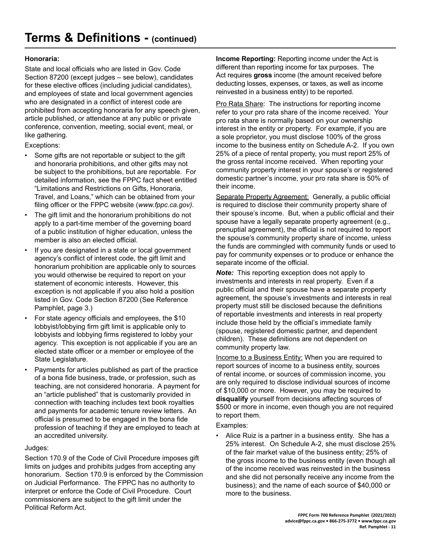#### **Honoraria:**

State and local officials who are listed in Gov. Code Section 87200 (except judges – see below), candidates for these elective offices (including judicial candidates), and employees of state and local government agencies who are designated in a conflict of interest code are prohibited from accepting honoraria for any speech given, article published, or attendance at any public or private conference, convention, meeting, social event, meal, or like gathering.

Exceptions:

- Some gifts are not reportable or subject to the gift and honoraria prohibitions, and other gifts may not be subject to the prohibitions, but are reportable. For detailed information, see the FPPC fact sheet entitled "Limitations and Restrictions on Gifts, Honoraria, Travel, and Loans," which can be obtained from your filing officer or the FPPC website (*www.fppc.ca.gov*).
- The gift limit and the honorarium prohibitions do not apply to a part-time member of the governing board of a public institution of higher education, unless the member is also an elected official.
- If you are designated in a state or local government agency's conflict of interest code, the gift limit and honorarium prohibition are applicable only to sources you would otherwise be required to report on your statement of economic interests. However, this exception is not applicable if you also hold a position listed in Gov. Code Section 87200 (See Reference Pamphlet, page 3.)
- For state agency officials and employees, the \$10 lobbyist/lobbying firm gift limit is applicable only to lobbyists and lobbying firms registered to lobby your agency. This exception is not applicable if you are an elected state officer or a member or employee of the State Legislature.
- Payments for articles published as part of the practice of a bona fide business, trade, or profession, such as teaching, are not considered honoraria. A payment for an "article published" that is customarily provided in connection with teaching includes text book royalties and payments for academic tenure review letters. An official is presumed to be engaged in the bona fide profession of teaching if they are employed to teach at an accredited university.

#### Judges:

Section 170.9 of the Code of Civil Procedure imposes gift limits on judges and prohibits judges from accepting any honorarium. Section 170.9 is enforced by the Commission on Judicial Performance. The FPPC has no authority to interpret or enforce the Code of Civil Procedure. Court commissioners are subject to the gift limit under the Political Reform Act.

**Income Reporting:** Reporting income under the Act is different than reporting income for tax purposes. The Act requires gross income (the amount received before deducting losses, expenses, or taxes, as well as income reinvested in a business entity) to be reported.

Pro Rata Share: The instructions for reporting income refer to your pro rata share of the income received. Your pro rata share is normally based on your ownership interest in the entity or property. For example, if you are a sole proprietor, you must disclose 100% of the gross income to the business entity on Schedule A-2. If you own 25% of a piece of rental property, you must report 25% of the gross rental income received. When reporting your community property interest in your spouse's or registered domestic partner's income, your pro rata share is 50% of their income.

Separate Property Agreement: Generally, a public official is required to disclose their community property share of their spouse's income. But, when a public official and their spouse have a legally separate property agreement (e.g., prenuptial agreement), the official is not required to report the spouse's community property share of income, unless the funds are commingled with community funds or used to pay for community expenses or to produce or enhance the separate income of the official.

*Note:* This reporting exception does not apply to investments and interests in real property. Even if a public official and their spouse have a separate property agreement, the spouse's investments and interests in real property must still be disclosed because the definitions of reportable investments and interests in real property include those held by the official's immediate family (spouse, registered domestic partner, and dependent children). These definitions are not dependent on community property law.

Income to a Business Entity: When you are required to report sources of income to a business entity, sources of rental income, or sources of commission income, you are only required to disclose individual sources of income of \$10,000 or more. However, you may be required to disqualify yourself from decisions affecting sources of \$500 or more in income, even though you are not required to report them.

Examples:

Alice Ruiz is a partner in a business entity. She has a 25% interest. On Schedule A-2, she must disclose 25% of the fair market value of the business entity; 25% of the gross income to the business entity (even though all of the income received was reinvested in the business and she did not personally receive any income from the business); and the name of each source of \$40,000 or more to the business.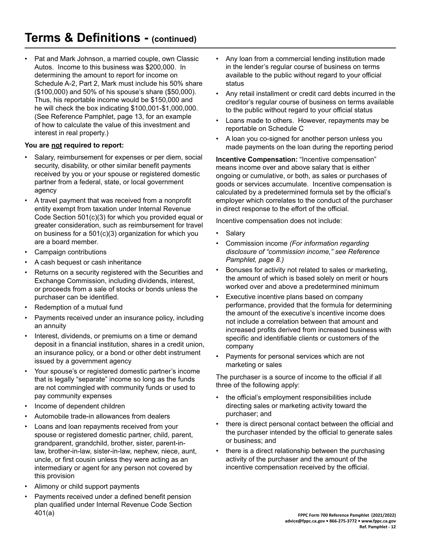Pat and Mark Johnson, a married couple, own Classic Autos. Income to this business was \$200,000. In determining the amount to report for income on Schedule A-2, Part 2, Mark must include his 50% share (\$100,000) and 50% of his spouse's share (\$50,000). Thus, his reportable income would be \$150,000 and he will check the box indicating \$100,001-\$1,000,000. (See Reference Pamphlet, page 13, for an example of how to calculate the value of this investment and interest in real property.)

#### **You are not required to report:**

- Salary, reimbursement for expenses or per diem, social security, disability, or other similar benefit payments received by you or your spouse or registered domestic partner from a federal, state, or local government agency
- A travel payment that was received from a nonprofit entity exempt from taxation under Internal Revenue Code Section 501(c)(3) for which you provided equal or greater consideration, such as reimbursement for travel on business for a  $501(c)(3)$  organization for which you are a board member.
- Campaign contributions
- A cash bequest or cash inheritance
- Returns on a security registered with the Securities and Exchange Commission, including dividends, interest, or proceeds from a sale of stocks or bonds unless the purchaser can be identified.
- Redemption of a mutual fund
- Payments received under an insurance policy, including an annuity
- Interest, dividends, or premiums on a time or demand deposit in a financial institution, shares in a credit union, an insurance policy, or a bond or other debt instrument issued by a government agency
- Your spouse's or registered domestic partner's income that is legally "separate" income so long as the funds are not commingled with community funds or used to pay community expenses
- Income of dependent children
- Automobile trade-in allowances from dealers
- Loans and loan repayments received from your spouse or registered domestic partner, child, parent, grandparent, grandchild, brother, sister, parent-inlaw, brother-in-law, sister-in-law, nephew, niece, aunt, uncle, or first cousin unless they were acting as an intermediary or agent for any person not covered by this provision
- Alimony or child support payments
- Payments received under a defined benefit pension plan qualified under Internal Revenue Code Section 401(a)
- Any loan from a commercial lending institution made in the lender's regular course of business on terms available to the public without regard to your official status
- Any retail installment or credit card debts incurred in the creditor's regular course of business on terms available to the public without regard to your official status
- Loans made to others. However, repayments may be reportable on Schedule C
- A loan you co-signed for another person unless you made payments on the loan during the reporting period

**Incentive Compensation:** "Incentive compensation" means income over and above salary that is either ongoing or cumulative, or both, as sales or purchases of goods or services accumulate. Incentive compensation is calculated by a predetermined formula set by the official's employer which correlates to the conduct of the purchaser in direct response to the effort of the official.

Incentive compensation does not include:

- **Salary**
- Commission income *(For information regarding disclosure of "commission income," see Reference Pamphlet, page 8.)*
- Bonuses for activity not related to sales or marketing, the amount of which is based solely on merit or hours worked over and above a predetermined minimum
- Executive incentive plans based on company performance, provided that the formula for determining the amount of the executive's incentive income does not include a correlation between that amount and increased profits derived from increased business with specific and identifiable clients or customers of the company
- Payments for personal services which are not marketing or sales

The purchaser is a source of income to the official if all three of the following apply:

- the official's employment responsibilities include directing sales or marketing activity toward the purchaser; and
- there is direct personal contact between the official and the purchaser intended by the official to generate sales or business; and
- there is a direct relationship between the purchasing activity of the purchaser and the amount of the incentive compensation received by the official.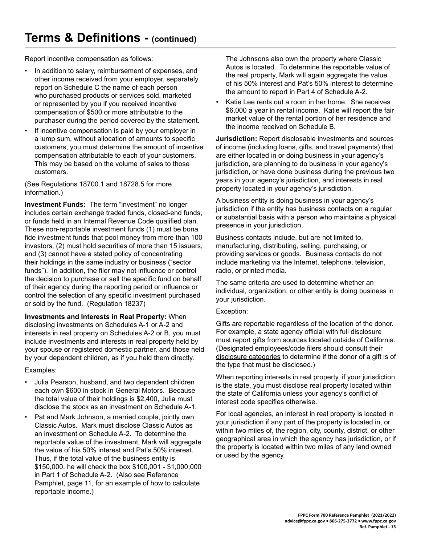Report incentive compensation as follows:

- In addition to salary, reimbursement of expenses, and other income received from your employer, separately report on Schedule C the name of each person who purchased products or services sold, marketed or represented by you if you received incentive compensation of \$500 or more attributable to the purchaser during the period covered by the statement.
- If incentive compensation is paid by your employer in a lump sum, without allocation of amounts to specific customers, you must determine the amount of incentive compensation attributable to each of your customers. This may be based on the volume of sales to those customers.

(See Regulations 18700.1 and 18728.5 for more information.)

**Investment Funds:** The term "investment" no longer includes certain exchange traded funds, closed-end funds, or funds held in an Internal Revenue Code qualified plan. These non-reportable investment funds (1) must be bona fide investment funds that pool money from more than 100 investors, (2) must hold securities of more than 15 issuers, and (3) cannot have a stated policy of concentrating their holdings in the same industry or business ("sector funds"). In addition, the filer may not influence or control the decision to purchase or sell the specific fund on behalf of their agency during the reporting period or influence or control the selection of any specific investment purchased or sold by the fund. (Regulation 18237)

**Investments and Interests in Real Property:** When disclosing investments on Schedules A-1 or A-2 and interests in real property on Schedules A-2 or B, you must include investments and interests in real property held by your spouse or registered domestic partner, and those held by your dependent children, as if you held them directly.

Examples:

- Julia Pearson, husband, and two dependent children each own \$600 in stock in General Motors. Because the total value of their holdings is \$2,400, Julia must disclose the stock as an investment on Schedule A-1.
- Pat and Mark Johnson, a married couple, jointly own Classic Autos. Mark must disclose Classic Autos as an investment on Schedule A-2. To determine the reportable value of the investment, Mark will aggregate the value of his 50% interest and Pat's 50% interest. Thus, if the total value of the business entity is \$150,000, he will check the box \$100,001 - \$1,000,000 in Part 1 of Schedule A-2. (Also see Reference Pamphlet, page 11, for an example of how to calculate reportable income.)

The Johnsons also own the property where Classic Autos is located. To determine the reportable value of the real property, Mark will again aggregate the value of his 50% interest and Pat's 50% interest to determine the amount to report in Part 4 of Schedule A-2.

Katie Lee rents out a room in her home. She receives \$6,000 a year in rental income. Katie will report the fair market value of the rental portion of her residence and the income received on Schedule B.

**Jurisdiction:** Report disclosable investments and sources of income (including loans, gifts, and travel payments) that are either located in or doing business in your agency's jurisdiction, are planning to do business in your agency's jurisdiction, or have done business during the previous two years in your agency's jurisdiction, and interests in real property located in your agency's jurisdiction.

A business entity is doing business in your agency's jurisdiction if the entity has business contacts on a regular or substantial basis with a person who maintains a physical presence in your jurisdiction.

Business contacts include, but are not limited to, manufacturing, distributing, selling, purchasing, or providing services or goods. Business contacts do not include marketing via the Internet, telephone, television, radio, or printed media.

The same criteria are used to determine whether an individual, organization, or other entity is doing business in your jurisdiction.

#### Exception:

Gifts are reportable regardless of the location of the donor. For example, a state agency official with full disclosure must report gifts from sources located outside of California. (Designated employees/code filers should consult their disclosure categories to determine if the donor of a gift is of the type that must be disclosed.)

When reporting interests in real property, if your jurisdiction is the state, you must disclose real property located within the state of California unless your agency's conflict of interest code specifies otherwise.

For local agencies, an interest in real property is located in your jurisdiction if any part of the property is located in, or within two miles of, the region, city, county, district, or other geographical area in which the agency has jurisdiction, or if the property is located within two miles of any land owned or used by the agency.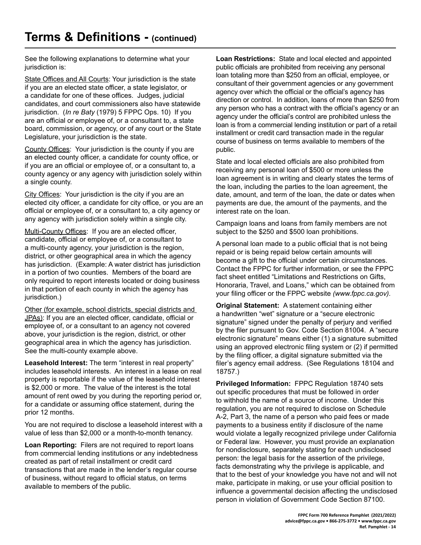See the following explanations to determine what your jurisdiction is:

State Offices and All Courts: Your jurisdiction is the state if you are an elected state officer, a state legislator, or a candidate for one of these offices. Judges, judicial candidates, and court commissioners also have statewide jurisdiction. (*In re Baty* (1979) 5 FPPC Ops. 10) If you are an official or employee of, or a consultant to, a state board, commission, or agency, or of any court or the State Legislature, your jurisdiction is the state.

County Offices: Your jurisdiction is the county if you are an elected county officer, a candidate for county office, or if you are an official or employee of, or a consultant to, a county agency or any agency with jurisdiction solely within a single county.

City Offices: Your jurisdiction is the city if you are an elected city officer, a candidate for city office, or you are an official or employee of, or a consultant to, a city agency or any agency with jurisdiction solely within a single city.

Multi-County Offices: If you are an elected officer, candidate, official or employee of, or a consultant to a multi-county agency, your jurisdiction is the region, district, or other geographical area in which the agency has jurisdiction. (Example: A water district has jurisdiction in a portion of two counties. Members of the board are only required to report interests located or doing business in that portion of each county in which the agency has jurisdiction.)

Other (for example, school districts, special districts and JPAs): If you are an elected officer, candidate, official or employee of, or a consultant to an agency not covered above, your jurisdiction is the region, district, or other geographical area in which the agency has jurisdiction. See the multi-county example above.

**Leasehold Interest:** The term "interest in real property" includes leasehold interests. An interest in a lease on real property is reportable if the value of the leasehold interest is \$2,000 or more. The value of the interest is the total amount of rent owed by you during the reporting period or, for a candidate or assuming office statement, during the prior 12 months.

You are not required to disclose a leasehold interest with a value of less than \$2,000 or a month-to-month tenancy.

**Loan Reporting:** Filers are not required to report loans from commercial lending institutions or any indebtedness created as part of retail installment or credit card transactions that are made in the lender's regular course of business, without regard to official status, on terms available to members of the public.

**Loan Restrictions:** State and local elected and appointed public officials are prohibited from receiving any personal loan totaling more than \$250 from an official, employee, or consultant of their government agencies or any government agency over which the official or the official's agency has direction or control. In addition, loans of more than \$250 from any person who has a contract with the official's agency or an agency under the official's control are prohibited unless the loan is from a commercial lending institution or part of a retail installment or credit card transaction made in the regular course of business on terms available to members of the public.

State and local elected officials are also prohibited from receiving any personal loan of \$500 or more unless the loan agreement is in writing and clearly states the terms of the loan, including the parties to the loan agreement, the date, amount, and term of the loan, the date or dates when payments are due, the amount of the payments, and the interest rate on the loan.

Campaign loans and loans from family members are not subject to the \$250 and \$500 loan prohibitions.

A personal loan made to a public official that is not being repaid or is being repaid below certain amounts will become a gift to the official under certain circumstances. Contact the FPPC for further information, or see the FPPC fact sheet entitled "Limitations and Restrictions on Gifts, Honoraria, Travel, and Loans," which can be obtained from your filing officer or the FPPC website (www.fppc.ca.gov).

**Original Statement:** A statement containing either a handwritten "wet" signature or a "secure electronic signature" signed under the penalty of perjury and verified by the filer pursuant to Gov. Code Section 81004. A "secure electronic signature" means either (1) a signature submitted using an approved electronic filing system or (2) if permitted by the filing officer, a digital signature submitted via the filer's agency email address. (See Regulations 18104 and 18757.)

**Privileged Information:** FPPC Regulation 18740 sets out specific procedures that must be followed in order to withhold the name of a source of income. Under this regulation, you are not required to disclose on Schedule A-2, Part 3, the name of a person who paid fees or made payments to a business entity if disclosure of the name would violate a legally recognized privilege under California or Federal law. However, you must provide an explanation for nondisclosure, separately stating for each undisclosed person: the legal basis for the assertion of the privilege, facts demonstrating why the privilege is applicable, and that to the best of your knowledge you have not and will not make, participate in making, or use your official position to influence a governmental decision affecting the undisclosed person in violation of Government Code Section 87100.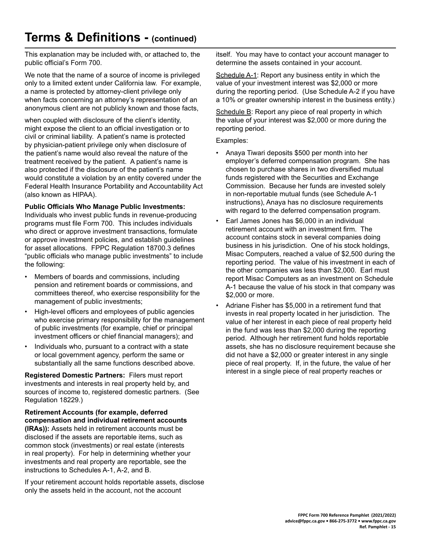### **Terms & Definitions - (continued)**

This explanation may be included with, or attached to, the public official's Form 700.

We note that the name of a source of income is privileged only to a limited extent under California law. For example, a name is protected by attorney-client privilege only when facts concerning an attorney's representation of an anonymous client are not publicly known and those facts,

when coupled with disclosure of the client's identity, might expose the client to an official investigation or to civil or criminal liability. A patient's name is protected by physician-patient privilege only when disclosure of the patient's name would also reveal the nature of the treatment received by the patient. A patient's name is also protected if the disclosure of the patient's name would constitute a violation by an entity covered under the Federal Health Insurance Portability and Accountability Act (also known as HIPAA).

#### **Public Officials Who Manage Public Investments:**

Individuals who invest public funds in revenue-producing programs must file Form 700. This includes individuals who direct or approve investment transactions, formulate or approve investment policies, and establish guidelines for asset allocations. FPPC Regulation 18700.3 defines "public officials who manage public investments" to include the following:

- Members of boards and commissions, including pension and retirement boards or commissions, and committees thereof, who exercise responsibility for the management of public investments;
- High-level officers and employees of public agencies who exercise primary responsibility for the management of public investments (for example, chief or principal investment officers or chief financial managers); and
- Individuals who, pursuant to a contract with a state or local government agency, perform the same or substantially all the same functions described above.

**Registered Domestic Partners:** Filers must report investments and interests in real property held by, and sources of income to, registered domestic partners. (See Regulation 18229.)

**Retirement Accounts (for example, deferred compensation and individual retirement accounts (IRAs)):** Assets held in retirement accounts must be disclosed if the assets are reportable items, such as common stock (investments) or real estate (interests in real property). For help in determining whether your investments and real property are reportable, see the instructions to Schedules A-1, A-2, and B.

If your retirement account holds reportable assets, disclose only the assets held in the account, not the account

itself. You may have to contact your account manager to determine the assets contained in your account.

Schedule A-1: Report any business entity in which the value of your investment interest was \$2,000 or more during the reporting period. (Use Schedule A-2 if you have a 10% or greater ownership interest in the business entity.)

Schedule B: Report any piece of real property in which the value of your interest was  $$2,000$  or more during the reporting period.

Examples:

- Anaya Tiwari deposits \$500 per month into her employer's deferred compensation program. She has chosen to purchase shares in two diversified mutual funds registered with the Securities and Exchange Commission. Because her funds are invested solely in non-reportable mutual funds (see Schedule A-1 instructions), Anaya has no disclosure requirements with regard to the deferred compensation program.
- Earl James Jones has \$6,000 in an individual retirement account with an investment firm. The account contains stock in several companies doing business in his jurisdiction. One of his stock holdings, Misac Computers, reached a value of \$2,500 during the reporting period. The value of his investment in each of the other companies was less than \$2,000. Earl must report Misac Computers as an investment on Schedule A-1 because the value of his stock in that company was \$2,000 or more.
- Adriane Fisher has \$5,000 in a retirement fund that invests in real property located in her jurisdiction. The value of her interest in each piece of real property held in the fund was less than \$2,000 during the reporting period. Although her retirement fund holds reportable assets, she has no disclosure requirement because she did not have a \$2,000 or greater interest in any single piece of real property. If, in the future, the value of her interest in a single piece of real property reaches or